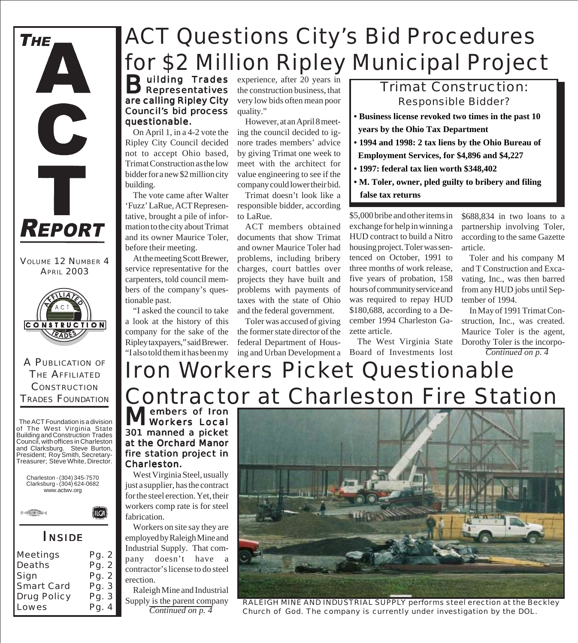

VOLUME 12 NUMBER 4 **APRIL 2003** 



A PUBLICATION OF THE AFFILIATED **CONSTRUCTION** TRADES FOUNDATION

The ACT Foundation is a division of The West Virginia State Building and Construction Trades Council, with offices in Charleston and Clarksburg. Steve Burton, President; Roy Smith, Secretary-Treasurer; Steve White, Director.



*INSIDE*

| Meetings           | Pg. 2          |
|--------------------|----------------|
| Deaths<br>Sign     | Pg. 2<br>Pg. 2 |
| <b>Smart Card</b>  | Pg. 3          |
| <b>Drug Policy</b> | Pg. 3          |
| Lowes              | Pg. 4          |

# *ACT Questions City's Bid Procedures for \$2 Million Ripley Municipal Project*

**B**uilding Trades are calling Ripley City Council's bid process questionable.

On April 1, in a 4-2 vote the Ripley City Council decided not to accept Ohio based, Trimat Construction as the low bidder for a new \$2 million city building.

The vote came after Walter 'Fuzz' LaRue, ACT Representative, brought a pile of information to the city about Trimat and its owner Maurice Toler, before their meeting.

At the meeting Scott Brewer, service representative for the carpenters, told council members of the company's questionable past.

"I asked the council to take a look at the history of this company for the sake of the Ripley taxpayers," said Brewer. "I also told them it has been my

experience, after 20 years in the construction business, that very low bids often mean poor quality."

However, at an April 8 meeting the council decided to ignore trades members' advice by giving Trimat one week to meet with the architect for value engineering to see if the company could lower their bid.

Trimat doesn't look like a responsible bidder, according to LaRue.

ACT members obtained documents that show Trimat and owner Maurice Toler had problems, including bribery charges, court battles over projects they have built and problems with payments of taxes with the state of Ohio and the federal government.

Toler was accused of giving the former state director of the federal Department of HousTrimat Construction: *Responsible Bidder?*

- **Business license revoked two times in the past 10 years by the Ohio Tax Department**
- **1994 and 1998: 2 tax liens by the Ohio Bureau of**
- **Employment Services, for \$4,896 and \$4,227**
- **1997: federal tax lien worth \$348,402**
- **M. Toler, owner, pled guilty to bribery and filing false tax returns**

\$5,000 bribe and other items in exchange for help in winning a HUD contract to build a Nitro housing project. Toler was sentenced on October, 1991 to three months of work release, five years of probation, 158 hours of community service and was required to repay HUD \$180,688, according to a December 1994 Charleston Gazette article.

The West Virginia State

\$688,834 in two loans to a partnership involving Toler, according to the same Gazette article.

Toler and his company M and T Construction and Excavating, Inc., was then barred from any HUD jobs until September of 1994.

In May of 1991 Trimat Construction, Inc., was created. Maurice Toler is the agent, Dorothy Toler is the incorpo-*Continued on p. 4*

### Iron Workers Picket Questionable ing and Urban Development a Board of Investments lost

Members of Iron 301 manned a picket at the Orchard Manor fire station project in Charleston.

West Virginia Steel, usually just a supplier, has the contract for the steel erection. Yet, their workers comp rate is for steel fabrication.

Workers on site say they are employed by Raleigh Mine and Industrial Supply. That company doesn't have a contractor's license to do steel erection.

Raleigh Mine and Industrial Supply is the parent company *Continued on p. 4*



*RALEIGH MINE AND INDUSTRIAL SUPPLY performs steel erection at the Beckley Church of God. The company is currently under investigation by the DOL.*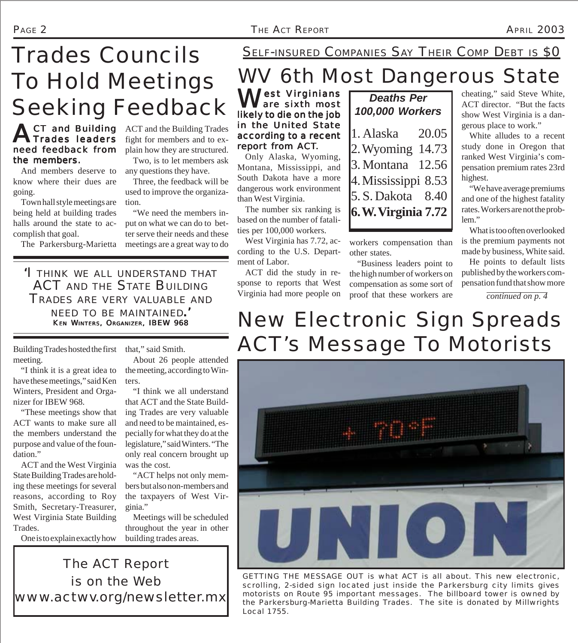# *Trades Councils To Hold Meetings* **Seeking Feedback**

### **ACT** and Building need feedback from the members.

And members deserve to know where their dues are going.

Town hall style meetings are being held at building trades halls around the state to accomplish that goal.

The Parkersburg-Marietta

ACT and the Building Trades fight for members and to explain how they are structured. Two, is to let members ask

any questions they have. Three, the feedback will be used to improve the organiza-

tion. "We need the members input on what we can do to better serve their needs and these meetings are a great way to do

*'I THINK WE ALL UNDERSTAND THAT ACT AND THE STATE BUILDING TRADES ARE VERY VALUABLE AND NEED TO BE MAINTAINED.'* KEN WINTERS, ORGANIZER, IBEW 968

Building Trades hosted the first meeting.

"I think it is a great idea to have these meetings," said Ken Winters, President and Organizer for IBEW 968.

"These meetings show that ACT wants to make sure all the members understand the purpose and value of the foundation."

ACT and the West Virginia State Building Trades are holding these meetings for several reasons, according to Roy Smith, Secretary-Treasurer, West Virginia State Building Trades.

One is to explain exactly how

that," said Smith.

About 26 people attended the meeting, according to Winters.

"I think we all understand that ACT and the State Building Trades are very valuable and need to be maintained, especially for what they do at the legislature," said Winters. "The only real concern brought up was the cost.

"ACT helps not only members but also non-members and the taxpayers of West Virginia."

Meetings will be scheduled throughout the year in other building trades areas.

*The ACT Report is on the Web www.actwv.org/newsletter.mx* SELF-INSURED COMPANIES SAY THEIR COMP DEBT IS \$0

### WV 6th Most Dangerous State

Vest Virginians<br>Vare sixth most likely to die on the job in the United State according to a recent report from ACT.

Only Alaska, Wyoming, Montana, Mississippi, and South Dakota have a more dangerous work environment than West Virginia.

The number six ranking is based on the number of fatalities per 100,000 workers.

West Virginia has 7.72, according to the U.S. Department of Labor.

ACT did the study in response to reports that West Virginia had more people on

1. Alaska 20.05 2. Wyoming 14.73 3. Montana 12.56 4. Mississippi 8.53 5. S. Dakota 8.40 **6. W. Virginia 7.72** *Deaths Per 100,000 Workers*

workers compensation than other states.

"Business leaders point to the high number of workers on compensation as some sort of proof that these workers are

cheating," said Steve White, ACT director. "But the facts show West Virginia is a dangerous place to work."

White alludes to a recent study done in Oregon that ranked West Virginia's compensation premium rates 23rd highest.

"We have average premiums and one of the highest fatality rates. Workers are not the problem."

What is too often overlooked is the premium payments not made by business, White said.

He points to default lists published by the workers compensation fund that show more

*continued on p. 4*

## New Electronic Sign Spreads ACT's Message To Motorists



*GETTING THE MESSAGE OUT is what ACT is all about. This new electronic, scrolling, 2-sided sign located just inside the Parkersburg city limits gives motorists on Route 95 important messages. The billboard tower is owned by the Parkersburg-Marietta Building Trades. The site is donated by Millwrights Local 1755.*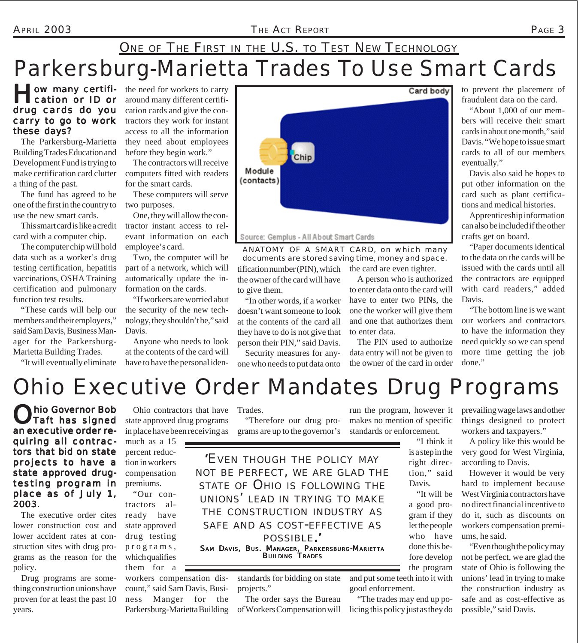APRIL 2003 *THE ACT REPORT* PAGE 3

### Parkersburg-Marietta Trades To Use Smart Cards ONE OF THE FIRST IN THE U.S. TO TEST NEW TECHNOLOGY

#### ow many certification or ID or drug cards do you carry to go to work these days?

The Parkersburg-Marietta Building Trades Education and Development Fund is trying to make certification card clutter a thing of the past.

The fund has agreed to be one of the first in the country to use the new smart cards.

This smart card is like a credit card with a computer chip.

The computer chip will hold data such as a worker's drug testing certification, hepatitis vaccinations, OSHA Training certification and pulmonary function test results.

"These cards will help our members and their employers," said Sam Davis, Business Manager for the Parkersburg-Marietta Building Trades.

"It will eventually eliminate

the need for workers to carry around many different certification cards and give the contractors they work for instant access to all the information they need about employees before they begin work."

The contractors will receive computers fitted with readers for the smart cards.

These computers will serve two purposes.

One, they will allow the contractor instant access to relevant information on each employee's card.

Two, the computer will be part of a network, which will automatically update the information on the cards.

"If workers are worried abut the security of the new technology, they shouldn't be," said Davis.

Anyone who needs to look at the contents of the card will have to have the personal iden-



#### Source: Gemplus - All About Smart Cards

tification number (PIN), which the card are even tighter. *ANATOMY OF A SMART CARD, on which many documents are stored saving time, money and space.*

the owner of the card will have to give them. "In other words, if a worker

doesn't want someone to look at the contents of the card all they have to do is not give that person their PIN," said Davis.

Security measures for anyone who needs to put data onto

A person who is authorized to enter data onto the card will have to enter two PINs, the one the worker will give them and one that authorizes them to enter data.

The PIN used to authorize data entry will not be given to the owner of the card in order

to prevent the placement of fraudulent data on the card.

"About 1,000 of our members will receive their smart cards in about one month," said Davis. "We hope to issue smart cards to all of our members eventually."

Davis also said he hopes to put other information on the card such as plant certifications and medical histories.

Apprenticeship information can also be included if the other crafts get on board.

"Paper documents identical to the data on the cards will be issued with the cards until all the contractors are equipped with card readers," added Davis.

"The bottom line is we want our workers and contractors to have the information they need quickly so we can spend more time getting the job done."

## Ohio Executive Order Mandates Drug Programs

**hio Governor Bob** Taft has signed an executive order requiring all contractors that bid on state projects to have a state approved drugtesting program in place as of July 1, 2003.

The executive order cites lower construction cost and lower accident rates at construction sites with drug programs as the reason for the policy.

Drug programs are something construction unions have proven for at least the past 10 years.

Ohio contractors that have state approved drug programs in place have been receiving as grams are up to the governor's much as a 15

percent reduction in workers compensation

"Our contractors already have state approved drug testing programs, which qualifies them for a

premiums.

workers compensation discount," said Sam Davis, Business Manger for the Parkersburg-Marietta Building

Trades.

"Therefore our drug pro-

*'EVEN THOUGH THE POLICY MAY NOT BE PERFECT, WE ARE GLAD THE STATE OF OHIO IS FOLLOWING THE UNIONS' LEAD IN TRYING TO MAKE THE CONSTRUCTION INDUSTRY AS SAFE AND AS COST-EFFECTIVE AS POSSIBLE.'* SAM DAVIS, BUS. MANAGER, PARKERSBURG-MARIETTA

BUILDING TRADES

standards for bidding on state projects."

The order says the Bureau of Workers Compensation will

run the program, however it makes no mention of specific standards or enforcement.

> "I think it is a step in the right direction," said Davis.

"It will be a good program if they let the people who have done this before develop the program

and put some teeth into it with good enforcement.

"The trades may end up policing this policy just as they do prevailing wage laws and other things designed to protect workers and taxpayers."

A policy like this would be very good for West Virginia, according to Davis.

However it would be very hard to implement because West Virginia contractors have no direct financial incentive to do it, such as discounts on workers compensation premiums, he said.

"Even though the policy may not be perfect, we are glad the state of Ohio is following the unions' lead in trying to make the construction industry as safe and as cost-effective as possible," said Davis.